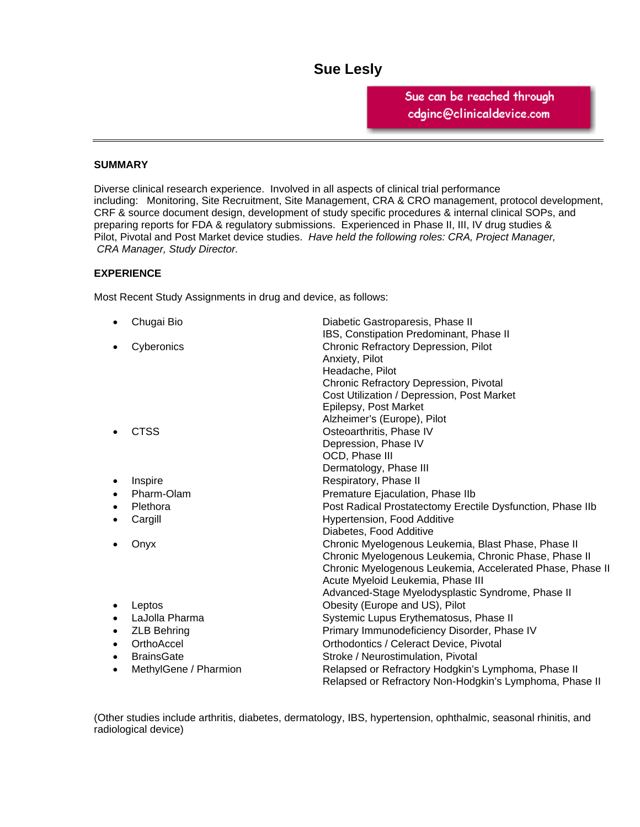# **Sue Lesly**  2819 Timber Briar Circle

Houston, Texas 77059 Sue can be reached through<br>cdginc@clinicaldevice.com *Sue.Lesly@sbcglobal.net* 

### **SUMMARY**

Diverse clinical research experience. Involved in all aspects of clinical trial performance including: Monitoring, Site Recruitment, Site Management, CRA & CRO management, protocol development, CRF & source document design, development of study specific procedures & internal clinical SOPs, and preparing reports for FDA & regulatory submissions. Experienced in Phase II, III, IV drug studies & Pilot, Pivotal and Post Market device studies. *Have held the following roles: CRA, Project Manager, CRA Manager, Study Director.* 

### **EXPERIENCE**

Most Recent Study Assignments in drug and device, as follows:

| Chugai Bio<br>$\bullet$ | Diabetic Gastroparesis, Phase II                           |
|-------------------------|------------------------------------------------------------|
|                         | IBS, Constipation Predominant, Phase II                    |
| Cyberonics              | Chronic Refractory Depression, Pilot                       |
|                         | Anxiety, Pilot                                             |
|                         | Headache, Pilot                                            |
|                         | Chronic Refractory Depression, Pivotal                     |
|                         | Cost Utilization / Depression, Post Market                 |
|                         | Epilepsy, Post Market                                      |
|                         | Alzheimer's (Europe), Pilot                                |
| <b>CTSS</b>             | Osteoarthritis, Phase IV                                   |
|                         | Depression, Phase IV                                       |
|                         | OCD, Phase III                                             |
|                         | Dermatology, Phase III                                     |
| Inspire<br>$\bullet$    | Respiratory, Phase II                                      |
| Pharm-Olam              | Premature Ejaculation, Phase IIb                           |
| Plethora                | Post Radical Prostatectomy Erectile Dysfunction, Phase IIb |
| Cargill                 | Hypertension, Food Additive                                |
|                         | Diabetes, Food Additive                                    |
| Onyx                    | Chronic Myelogenous Leukemia, Blast Phase, Phase II        |
|                         | Chronic Myelogenous Leukemia, Chronic Phase, Phase II      |
|                         | Chronic Myelogenous Leukemia, Accelerated Phase, Phase II  |
|                         | Acute Myeloid Leukemia, Phase III                          |
|                         | Advanced-Stage Myelodysplastic Syndrome, Phase II          |
| Leptos                  | Obesity (Europe and US), Pilot                             |
| LaJolla Pharma          | Systemic Lupus Erythematosus, Phase II                     |
| <b>ZLB Behring</b><br>٠ | Primary Immunodeficiency Disorder, Phase IV                |
| OrthoAccel<br>$\bullet$ | Orthodontics / Celeract Device, Pivotal                    |
| <b>BrainsGate</b><br>٠  | Stroke / Neurostimulation, Pivotal                         |
| MethylGene / Pharmion   | Relapsed or Refractory Hodgkin's Lymphoma, Phase II        |
|                         | Relapsed or Refractory Non-Hodgkin's Lymphoma, Phase II    |

(Other studies include arthritis, diabetes, dermatology, IBS, hypertension, ophthalmic, seasonal rhinitis, and radiological device)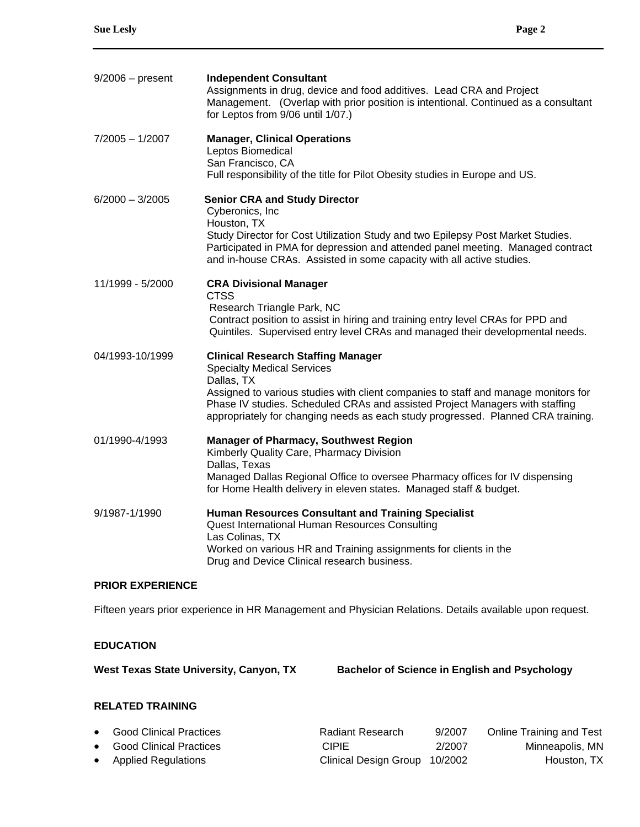| $9/2006$ – present | <b>Independent Consultant</b><br>Assignments in drug, device and food additives. Lead CRA and Project<br>Management. (Overlap with prior position is intentional. Continued as a consultant<br>for Leptos from 9/06 until 1/07.)                                                                                                                       |
|--------------------|--------------------------------------------------------------------------------------------------------------------------------------------------------------------------------------------------------------------------------------------------------------------------------------------------------------------------------------------------------|
| $7/2005 - 1/2007$  | <b>Manager, Clinical Operations</b><br>Leptos Biomedical<br>San Francisco, CA<br>Full responsibility of the title for Pilot Obesity studies in Europe and US.                                                                                                                                                                                          |
| $6/2000 - 3/2005$  | <b>Senior CRA and Study Director</b><br>Cyberonics, Inc.<br>Houston, TX<br>Study Director for Cost Utilization Study and two Epilepsy Post Market Studies.<br>Participated in PMA for depression and attended panel meeting. Managed contract<br>and in-house CRAs. Assisted in some capacity with all active studies.                                 |
| 11/1999 - 5/2000   | <b>CRA Divisional Manager</b><br><b>CTSS</b><br>Research Triangle Park, NC<br>Contract position to assist in hiring and training entry level CRAs for PPD and<br>Quintiles. Supervised entry level CRAs and managed their developmental needs.                                                                                                         |
| 04/1993-10/1999    | <b>Clinical Research Staffing Manager</b><br><b>Specialty Medical Services</b><br>Dallas, TX<br>Assigned to various studies with client companies to staff and manage monitors for<br>Phase IV studies. Scheduled CRAs and assisted Project Managers with staffing<br>appropriately for changing needs as each study progressed. Planned CRA training. |
| 01/1990-4/1993     | <b>Manager of Pharmacy, Southwest Region</b><br>Kimberly Quality Care, Pharmacy Division<br>Dallas, Texas<br>Managed Dallas Regional Office to oversee Pharmacy offices for IV dispensing<br>for Home Health delivery in eleven states. Managed staff & budget.                                                                                        |
| 9/1987-1/1990      | <b>Human Resources Consultant and Training Specialist</b><br>Quest International Human Resources Consulting<br>Las Colinas, TX<br>Worked on various HR and Training assignments for clients in the<br>Drug and Device Clinical research business.                                                                                                      |

### **PRIOR EXPERIENCE**

Fifteen years prior experience in HR Management and Physician Relations. Details available upon request.

# **EDUCATION**

West Texas State University, Canyon, TX Bachelor of Science in English and Psychology

# **RELATED TRAINING**

| • Good Clinical Practices | Radiant Research              | 9/2007 | Online Training and Test |
|---------------------------|-------------------------------|--------|--------------------------|
| • Good Clinical Practices | CIPIE.                        | 2/2007 | Minneapolis, MN          |
| • Applied Regulations     | Clinical Design Group 10/2002 |        | Houston, TX              |